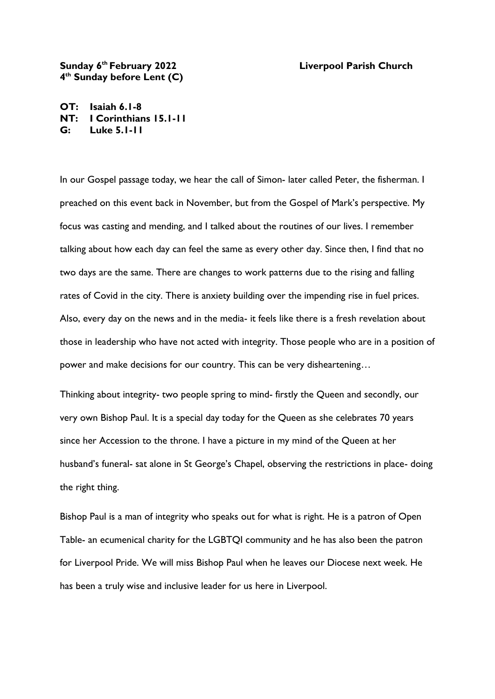## **Sunday 6th February 2022 Liverpool Parish Church 4 th Sunday before Lent (C)**

**OT: Isaiah 6.1-8 NT: I Corinthians 15.1-11 G: Luke 5.1-11**

In our Gospel passage today, we hear the call of Simon- later called Peter, the fisherman. I preached on this event back in November, but from the Gospel of Mark's perspective. My focus was casting and mending, and I talked about the routines of our lives. I remember talking about how each day can feel the same as every other day. Since then, I find that no two days are the same. There are changes to work patterns due to the rising and falling rates of Covid in the city. There is anxiety building over the impending rise in fuel prices. Also, every day on the news and in the media- it feels like there is a fresh revelation about those in leadership who have not acted with integrity. Those people who are in a position of power and make decisions for our country. This can be very disheartening…

Thinking about integrity- two people spring to mind- firstly the Queen and secondly, our very own Bishop Paul. It is a special day today for the Queen as she celebrates 70 years since her Accession to the throne. I have a picture in my mind of the Queen at her husband's funeral- sat alone in St George's Chapel, observing the restrictions in place- doing the right thing.

Bishop Paul is a man of integrity who speaks out for what is right. He is a patron of Open Table- an ecumenical charity for the LGBTQI community and he has also been the patron for Liverpool Pride. We will miss Bishop Paul when he leaves our Diocese next week. He has been a truly wise and inclusive leader for us here in Liverpool.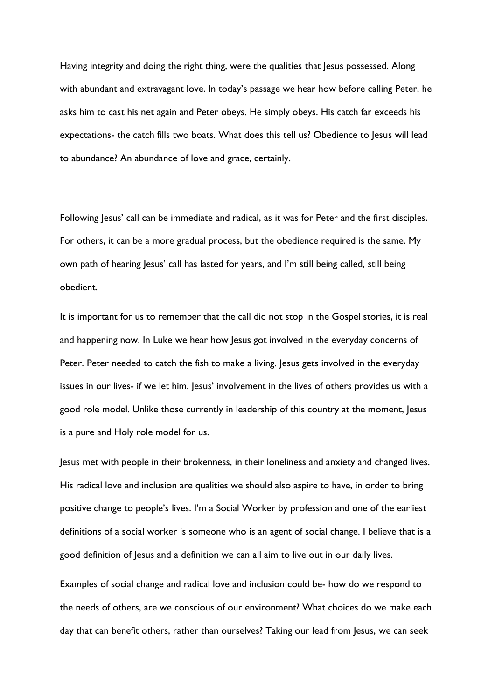Having integrity and doing the right thing, were the qualities that Jesus possessed. Along with abundant and extravagant love. In today's passage we hear how before calling Peter, he asks him to cast his net again and Peter obeys. He simply obeys. His catch far exceeds his expectations- the catch fills two boats. What does this tell us? Obedience to Jesus will lead to abundance? An abundance of love and grace, certainly.

Following Jesus' call can be immediate and radical, as it was for Peter and the first disciples. For others, it can be a more gradual process, but the obedience required is the same. My own path of hearing Jesus' call has lasted for years, and I'm still being called, still being obedient.

It is important for us to remember that the call did not stop in the Gospel stories, it is real and happening now. In Luke we hear how Jesus got involved in the everyday concerns of Peter. Peter needed to catch the fish to make a living. Jesus gets involved in the everyday issues in our lives- if we let him. Jesus' involvement in the lives of others provides us with a good role model. Unlike those currently in leadership of this country at the moment, Jesus is a pure and Holy role model for us.

Jesus met with people in their brokenness, in their loneliness and anxiety and changed lives. His radical love and inclusion are qualities we should also aspire to have, in order to bring positive change to people's lives. I'm a Social Worker by profession and one of the earliest definitions of a social worker is someone who is an agent of social change. I believe that is a good definition of Jesus and a definition we can all aim to live out in our daily lives.

Examples of social change and radical love and inclusion could be- how do we respond to the needs of others, are we conscious of our environment? What choices do we make each day that can benefit others, rather than ourselves? Taking our lead from Jesus, we can seek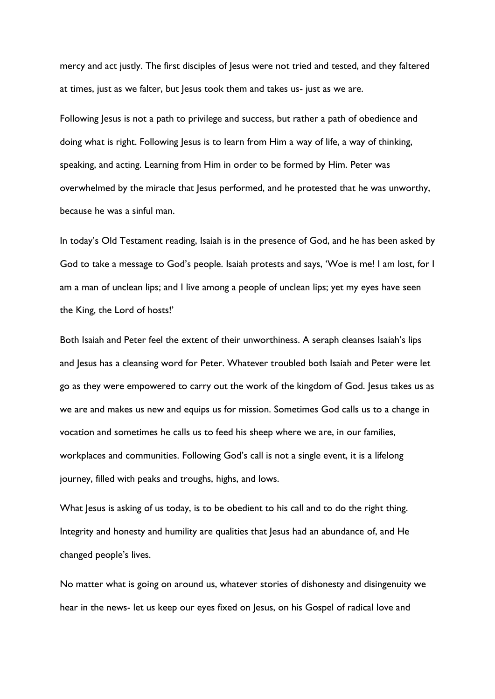mercy and act justly. The first disciples of Jesus were not tried and tested, and they faltered at times, just as we falter, but Jesus took them and takes us- just as we are.

Following Jesus is not a path to privilege and success, but rather a path of obedience and doing what is right. Following Jesus is to learn from Him a way of life, a way of thinking, speaking, and acting. Learning from Him in order to be formed by Him. Peter was overwhelmed by the miracle that Jesus performed, and he protested that he was unworthy, because he was a sinful man.

In today's Old Testament reading, Isaiah is in the presence of God, and he has been asked by God to take a message to God's people. Isaiah protests and says, 'Woe is me! I am lost, for I am a man of unclean lips; and I live among a people of unclean lips; yet my eyes have seen the King, the Lord of hosts!'

Both Isaiah and Peter feel the extent of their unworthiness. A seraph cleanses Isaiah's lips and Jesus has a cleansing word for Peter. Whatever troubled both Isaiah and Peter were let go as they were empowered to carry out the work of the kingdom of God. Jesus takes us as we are and makes us new and equips us for mission. Sometimes God calls us to a change in vocation and sometimes he calls us to feed his sheep where we are, in our families, workplaces and communities. Following God's call is not a single event, it is a lifelong journey, filled with peaks and troughs, highs, and lows.

What Jesus is asking of us today, is to be obedient to his call and to do the right thing. Integrity and honesty and humility are qualities that lesus had an abundance of, and He changed people's lives.

No matter what is going on around us, whatever stories of dishonesty and disingenuity we hear in the news- let us keep our eyes fixed on Jesus, on his Gospel of radical love and